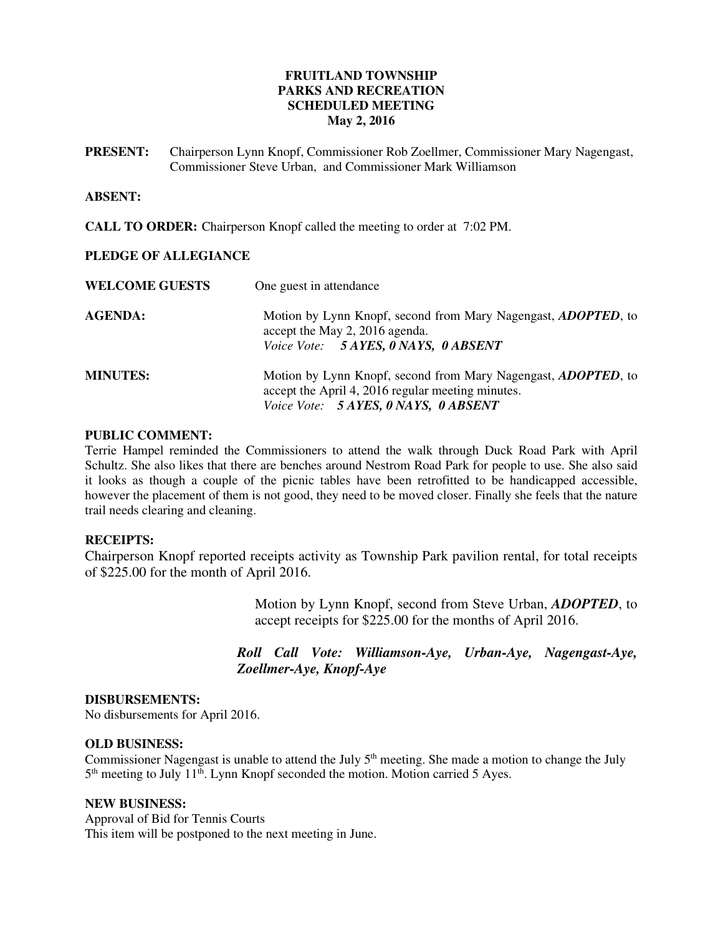# **FRUITLAND TOWNSHIP PARKS AND RECREATION SCHEDULED MEETING May 2, 2016**

**PRESENT:** Chairperson Lynn Knopf, Commissioner Rob Zoellmer, Commissioner Mary Nagengast, Commissioner Steve Urban, and Commissioner Mark Williamson

# **ABSENT:**

**CALL TO ORDER:** Chairperson Knopf called the meeting to order at 7:02 PM.

## **PLEDGE OF ALLEGIANCE**

| <b>WELCOME GUESTS</b> | One guest in attendance                                                                                                                                            |
|-----------------------|--------------------------------------------------------------------------------------------------------------------------------------------------------------------|
| <b>AGENDA:</b>        | Motion by Lynn Knopf, second from Mary Nagengast, <b>ADOPTED</b> , to<br>accept the May 2, 2016 agenda.<br>Voice Vote: 5 AYES, 0 NAYS, 0 ABSENT                    |
| <b>MINUTES:</b>       | Motion by Lynn Knopf, second from Mary Nagengast, <b>ADOPTED</b> , to<br>accept the April 4, 2016 regular meeting minutes.<br>Voice Vote: 5 AYES, 0 NAYS, 0 ABSENT |

### **PUBLIC COMMENT:**

Terrie Hampel reminded the Commissioners to attend the walk through Duck Road Park with April Schultz. She also likes that there are benches around Nestrom Road Park for people to use. She also said it looks as though a couple of the picnic tables have been retrofitted to be handicapped accessible, however the placement of them is not good, they need to be moved closer. Finally she feels that the nature trail needs clearing and cleaning.

### **RECEIPTS:**

Chairperson Knopf reported receipts activity as Township Park pavilion rental, for total receipts of \$225.00 for the month of April 2016.

> Motion by Lynn Knopf, second from Steve Urban, *ADOPTED*, to accept receipts for \$225.00 for the months of April 2016.

*Roll Call Vote: Williamson-Aye, Urban-Aye, Nagengast-Aye, Zoellmer-Aye, Knopf-Aye* 

#### **DISBURSEMENTS:**

No disbursements for April 2016.

#### **OLD BUSINESS:**

Commissioner Nagengast is unable to attend the July  $5<sup>th</sup>$  meeting. She made a motion to change the July 5<sup>th</sup> meeting to July 11<sup>th</sup>. Lynn Knopf seconded the motion. Motion carried 5 Ayes.

#### **NEW BUSINESS:**

Approval of Bid for Tennis Courts This item will be postponed to the next meeting in June.